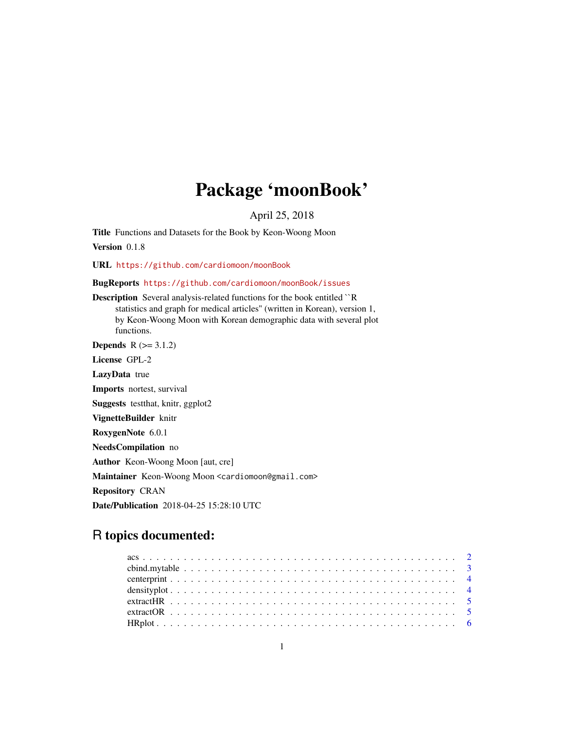## Package 'moonBook'

April 25, 2018

Title Functions and Datasets for the Book by Keon-Woong Moon

Version 0.1.8

URL <https://github.com/cardiomoon/moonBook>

BugReports <https://github.com/cardiomoon/moonBook/issues>

Description Several analysis-related functions for the book entitled ``R statistics and graph for medical articles'' (written in Korean), version 1, by Keon-Woong Moon with Korean demographic data with several plot functions.

**Depends**  $R$  ( $>= 3.1.2$ ) License GPL-2 LazyData true Imports nortest, survival Suggests testthat, knitr, ggplot2 VignetteBuilder knitr RoxygenNote 6.0.1 NeedsCompilation no Author Keon-Woong Moon [aut, cre] Maintainer Keon-Woong Moon <cardiomoon@gmail.com> Repository CRAN Date/Publication 2018-04-25 15:28:10 UTC

## R topics documented: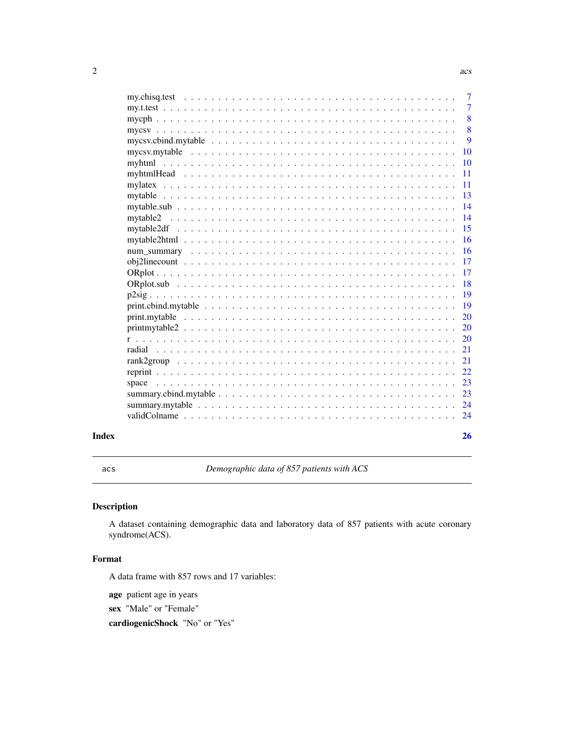<span id="page-1-0"></span>

| Index |          | 26             |
|-------|----------|----------------|
|       |          |                |
|       |          | 24             |
|       |          | 24             |
|       | space    | 23             |
|       |          | 23             |
|       |          | 22             |
|       |          | 21             |
|       |          | 21             |
|       |          | 20             |
|       |          | 20             |
|       |          | 20             |
|       |          | <b>19</b>      |
|       |          | <b>19</b>      |
|       |          | 18             |
|       |          | 17             |
|       |          | -17            |
|       |          | <b>16</b>      |
|       |          | <b>16</b>      |
|       | mytable2 | 14<br>15       |
|       |          | 14             |
|       |          | 13             |
|       |          | <b>11</b>      |
|       |          | <sup>11</sup>  |
|       |          | 10             |
|       |          | <b>10</b>      |
|       |          | 9              |
|       |          | 8              |
|       |          | 8              |
|       |          | -7             |
|       |          | $\overline{7}$ |
|       |          |                |

acs *Demographic data of 857 patients with ACS*

## Description

A dataset containing demographic data and laboratory data of 857 patients with acute coronary syndrome(ACS).

## Format

A data frame with 857 rows and 17 variables:

age patient age in years

sex "Male" or "Female"

cardiogenicShock "No" or "Yes"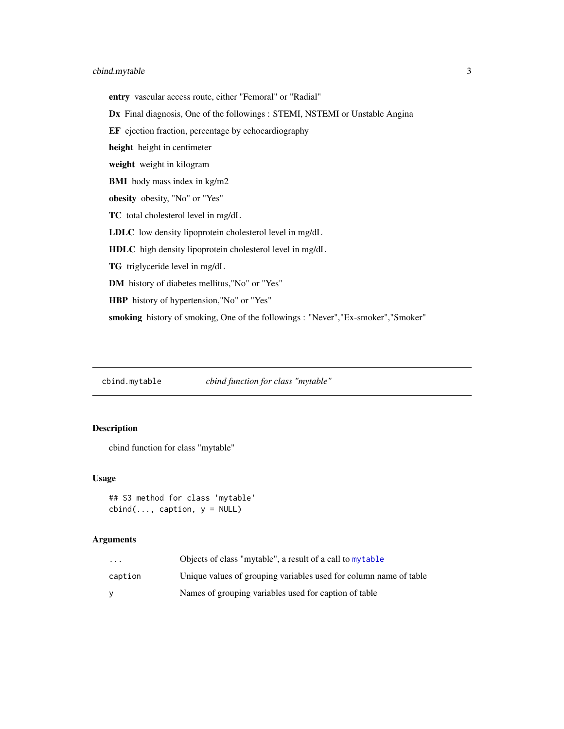## <span id="page-2-0"></span>cbind.mytable 3

entry vascular access route, either "Femoral" or "Radial" Dx Final diagnosis, One of the followings : STEMI, NSTEMI or Unstable Angina EF ejection fraction, percentage by echocardiography height height in centimeter weight weight in kilogram BMI body mass index in kg/m2 obesity obesity, "No" or "Yes" TC total cholesterol level in mg/dL LDLC low density lipoprotein cholesterol level in mg/dL HDLC high density lipoprotein cholesterol level in mg/dL TG triglyceride level in mg/dL DM history of diabetes mellitus,"No" or "Yes" HBP history of hypertension,"No" or "Yes" smoking history of smoking, One of the followings : "Never","Ex-smoker","Smoker"

<span id="page-2-1"></span>cbind.mytable *cbind function for class "mytable"*

## Description

cbind function for class "mytable"

#### Usage

## S3 method for class 'mytable'  $cbind(..., caption, y = NULL)$ 

| $\cdot$ $\cdot$ $\cdot$ | Objects of class "mytable", a result of a call to mytable         |
|-------------------------|-------------------------------------------------------------------|
| caption                 | Unique values of grouping variables used for column name of table |
|                         | Names of grouping variables used for caption of table             |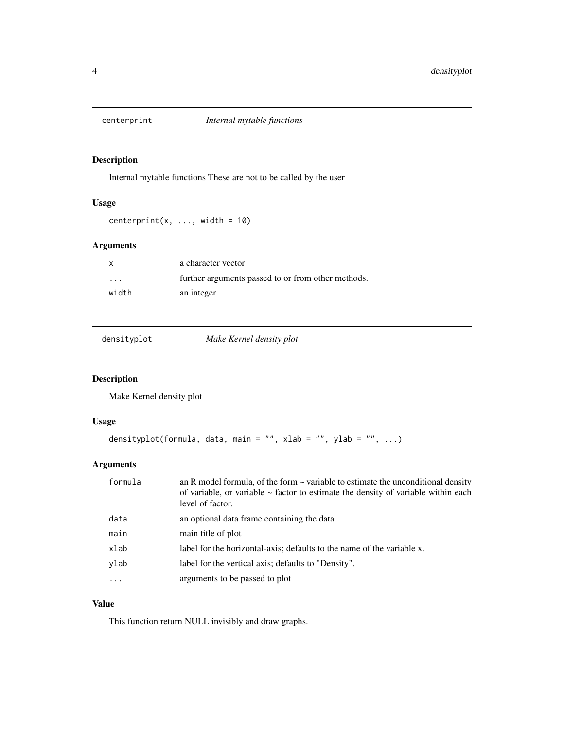<span id="page-3-0"></span>

Internal mytable functions These are not to be called by the user

## Usage

centerprint(x, ..., width =  $10$ )

## Arguments

| $\mathsf{x}$            | a character vector                                 |
|-------------------------|----------------------------------------------------|
| $\cdot$ $\cdot$ $\cdot$ | further arguments passed to or from other methods. |
| width                   | an integer                                         |

| Make Kernel density plot |
|--------------------------|
|--------------------------|

## Description

Make Kernel density plot

#### Usage

```
densityplot(formula, data, main = "", xlab = "", ylab = "", ...)
```
## Arguments

| formula  | an R model formula, of the form $\sim$ variable to estimate the unconditional density<br>of variable, or variable $\sim$ factor to estimate the density of variable within each<br>level of factor. |
|----------|-----------------------------------------------------------------------------------------------------------------------------------------------------------------------------------------------------|
| data     | an optional data frame containing the data.                                                                                                                                                         |
| main     | main title of plot                                                                                                                                                                                  |
| xlab     | label for the horizontal-axis; defaults to the name of the variable x.                                                                                                                              |
| ylab     | label for the vertical axis; defaults to "Density".                                                                                                                                                 |
| $\cdots$ | arguments to be passed to plot                                                                                                                                                                      |

## Value

This function return NULL invisibly and draw graphs.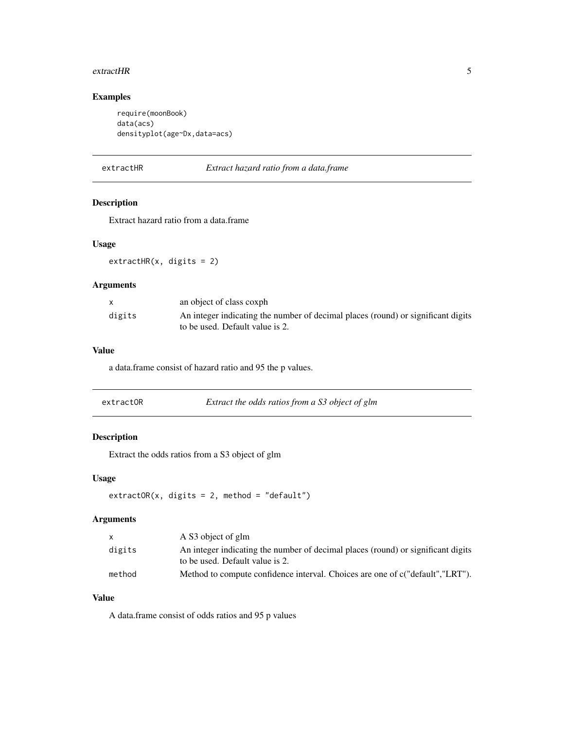#### <span id="page-4-0"></span>extractHR 5

## Examples

```
require(moonBook)
data(acs)
densityplot(age~Dx,data=acs)
```
extractHR *Extract hazard ratio from a data.frame*

## Description

Extract hazard ratio from a data.frame

## Usage

extractHR(x, digits = 2)

## Arguments

|        | an object of class coxph                                                                                            |
|--------|---------------------------------------------------------------------------------------------------------------------|
| digits | An integer indicating the number of decimal places (round) or significant digits<br>to be used. Default value is 2. |

## Value

a data.frame consist of hazard ratio and 95 the p values.

| extractOR | Extract the odds ratios from a S3 object of glm |
|-----------|-------------------------------------------------|
|-----------|-------------------------------------------------|

## Description

Extract the odds ratios from a S3 object of glm

#### Usage

extractOR(x, digits = 2, method = "default")

## Arguments

|        | A S3 object of glm                                                                                                  |
|--------|---------------------------------------------------------------------------------------------------------------------|
| digits | An integer indicating the number of decimal places (round) or significant digits<br>to be used. Default value is 2. |
| method | Method to compute confidence interval. Choices are one of c("default","LRT").                                       |

## Value

A data.frame consist of odds ratios and 95 p values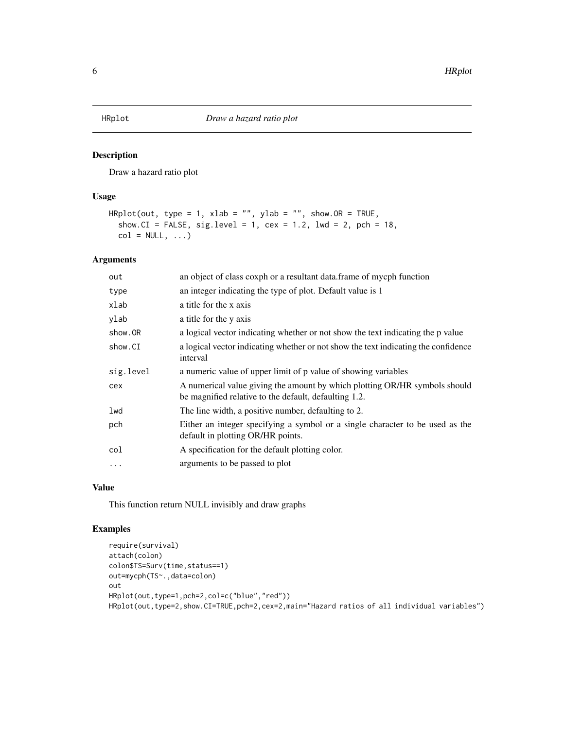<span id="page-5-0"></span>

Draw a hazard ratio plot

## Usage

```
HRplot(out, type = 1, xlab = "", ylab = "", show.OR = TRUE,show.CI = FALSE, sig. level = 1, cex = 1.2, lwd = 2, pch = 18,
  col = NULL, ...
```
## Arguments

| out       | an object of class coxph or a resultant data. frame of mycph function                                                               |
|-----------|-------------------------------------------------------------------------------------------------------------------------------------|
| type      | an integer indicating the type of plot. Default value is 1                                                                          |
| xlab      | a title for the x axis                                                                                                              |
| ylab      | a title for the y axis                                                                                                              |
| show.OR   | a logical vector indicating whether or not show the text indicating the p value                                                     |
| show.CI   | a logical vector indicating whether or not show the text indicating the confidence<br>interval                                      |
| sig.level | a numeric value of upper limit of p value of showing variables                                                                      |
| cex       | A numerical value giving the amount by which plotting OR/HR symbols should<br>be magnified relative to the default, defaulting 1.2. |
| lwd       | The line width, a positive number, defaulting to 2.                                                                                 |
| pch       | Either an integer specifying a symbol or a single character to be used as the<br>default in plotting OR/HR points.                  |
| col       | A specification for the default plotting color.                                                                                     |
| $\cdots$  | arguments to be passed to plot                                                                                                      |

## Value

This function return NULL invisibly and draw graphs

## Examples

```
require(survival)
attach(colon)
colon$TS=Surv(time,status==1)
out=mycph(TS~.,data=colon)
out
HRplot(out,type=1,pch=2,col=c("blue","red"))
HRplot(out,type=2,show.CI=TRUE,pch=2,cex=2,main="Hazard ratios of all individual variables")
```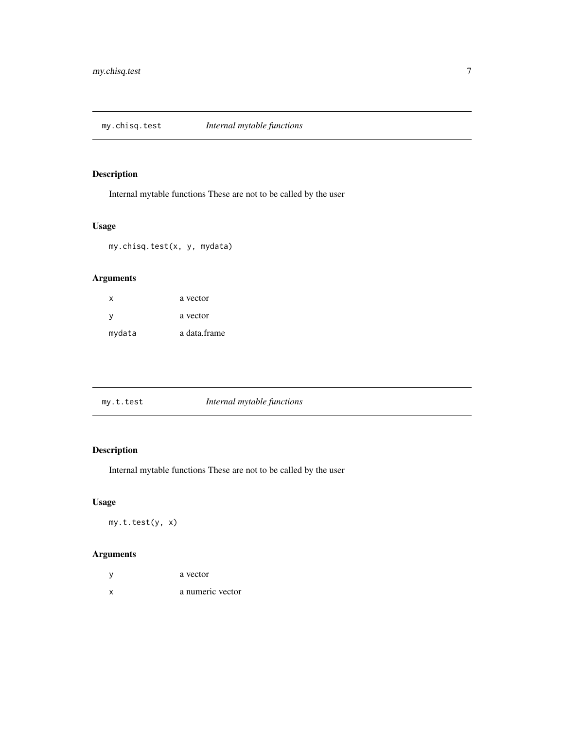<span id="page-6-0"></span>my.chisq.test *Internal mytable functions*

## Description

Internal mytable functions These are not to be called by the user

## Usage

my.chisq.test(x, y, mydata)

## Arguments

| x        | a vector     |
|----------|--------------|
| <b>v</b> | a vector     |
| mydata   | a data.frame |

| my.t.test | Internal mytable functions |  |
|-----------|----------------------------|--|
|           |                            |  |

## Description

Internal mytable functions These are not to be called by the user

## Usage

my.t.test(y, x)

|   | a vector         |
|---|------------------|
| x | a numeric vector |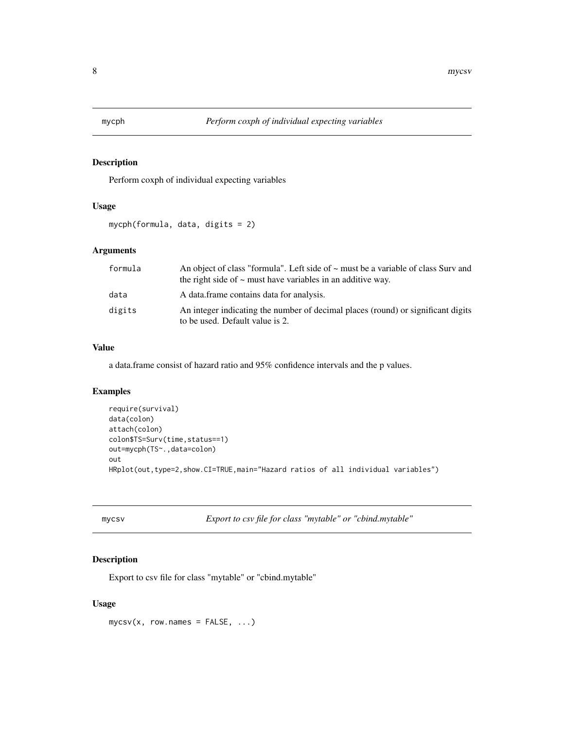<span id="page-7-0"></span>

Perform coxph of individual expecting variables

#### Usage

```
mycph(formula, data, digits = 2)
```
## Arguments

| formula | An object of class "formula". Left side of $\sim$ must be a variable of class Surv and<br>the right side of $\sim$ must have variables in an additive way. |
|---------|------------------------------------------------------------------------------------------------------------------------------------------------------------|
| data    | A data frame contains data for analysis.                                                                                                                   |
| digits  | An integer indicating the number of decimal places (round) or significant digits<br>to be used. Default value is 2.                                        |

#### Value

a data.frame consist of hazard ratio and 95% confidence intervals and the p values.

## Examples

```
require(survival)
data(colon)
attach(colon)
colon$TS=Surv(time,status==1)
out=mycph(TS~.,data=colon)
out
HRplot(out,type=2,show.CI=TRUE,main="Hazard ratios of all individual variables")
```
mycsv *Export to csv file for class "mytable" or "cbind.mytable"*

#### Description

Export to csv file for class "mytable" or "cbind.mytable"

## Usage

mycsv(x, row.names = FALSE, ...)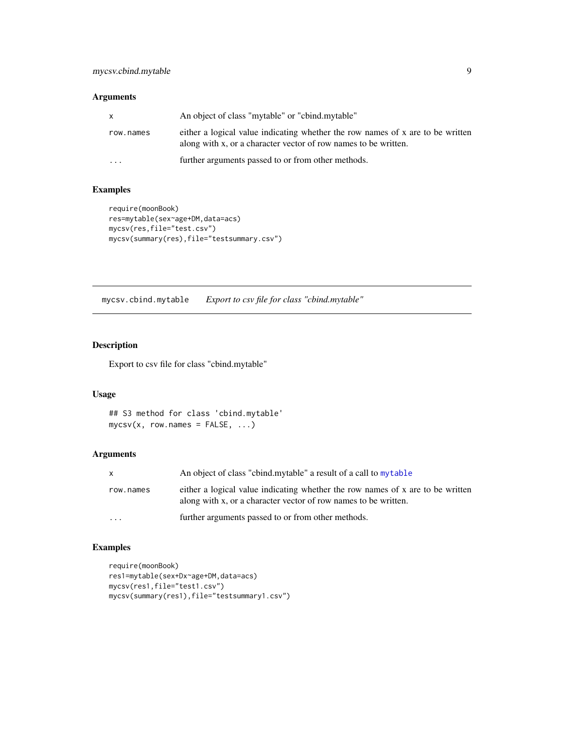## <span id="page-8-0"></span>Arguments

| X         | An object of class "mytable" or "cbind.mytable"                                                                                                   |
|-----------|---------------------------------------------------------------------------------------------------------------------------------------------------|
| row.names | either a logical value indicating whether the row names of x are to be written<br>along with x, or a character vector of row names to be written. |
|           | further arguments passed to or from other methods.                                                                                                |

## Examples

```
require(moonBook)
res=mytable(sex~age+DM,data=acs)
mycsv(res,file="test.csv")
mycsv(summary(res),file="testsummary.csv")
```
mycsv.cbind.mytable *Export to csv file for class "cbind.mytable"*

## Description

Export to csv file for class "cbind.mytable"

## Usage

```
## S3 method for class 'cbind.mytable'
mycsv(x, row.names = FALSE, ...)
```
## Arguments

| $\mathsf{x}$            | An object of class "cbind.mytable" a result of a call to mytable                                                                                  |
|-------------------------|---------------------------------------------------------------------------------------------------------------------------------------------------|
| row.names               | either a logical value indicating whether the row names of x are to be written<br>along with x, or a character vector of row names to be written. |
| $\cdot$ $\cdot$ $\cdot$ | further arguments passed to or from other methods.                                                                                                |

## Examples

```
require(moonBook)
res1=mytable(sex+Dx~age+DM,data=acs)
mycsv(res1,file="test1.csv")
mycsv(summary(res1),file="testsummary1.csv")
```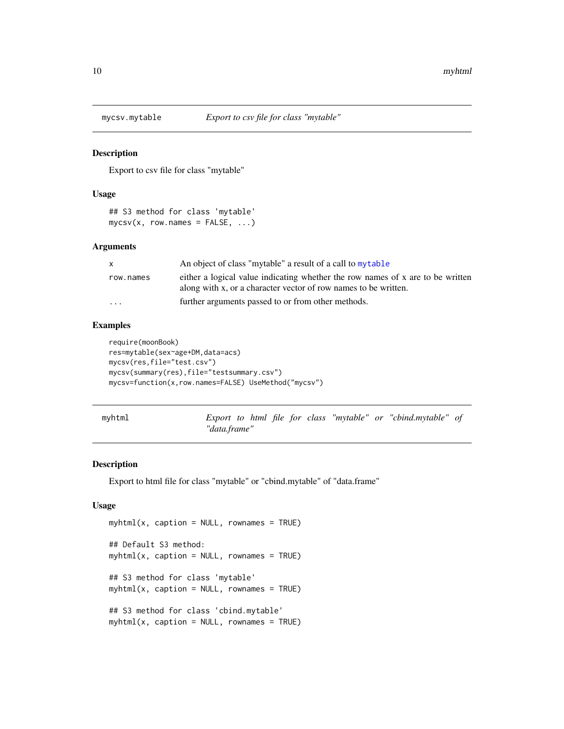<span id="page-9-0"></span>

Export to csv file for class "mytable"

#### Usage

```
## S3 method for class 'mytable'
mycsv(x, row.names = FALSE, ...)
```
#### Arguments

| X         | An object of class "mytable" a result of a call to mytable                     |
|-----------|--------------------------------------------------------------------------------|
| row.names | either a logical value indicating whether the row names of x are to be written |
|           | along with x, or a character vector of row names to be written.                |
| $\cdots$  | further arguments passed to or from other methods.                             |

#### Examples

```
require(moonBook)
res=mytable(sex~age+DM,data=acs)
mycsv(res,file="test.csv")
mycsv(summary(res),file="testsummary.csv")
mycsv=function(x,row.names=FALSE) UseMethod("mycsv")
```
myhtml *Export to html file for class "mytable" or "cbind.mytable" of "data.frame"*

#### Description

Export to html file for class "mytable" or "cbind.mytable" of "data.frame"

#### Usage

```
myhtml(x, caption = NULL, rownames = TRUE)## Default S3 method:
myhtml(x, caption = NULL, rownames = TRUE)## S3 method for class 'mytable'
myhtml(x, caption = NULL, rownames = TRUE)## S3 method for class 'cbind.mytable'
myhtml(x, caption = NULL, rownames = TRUE)
```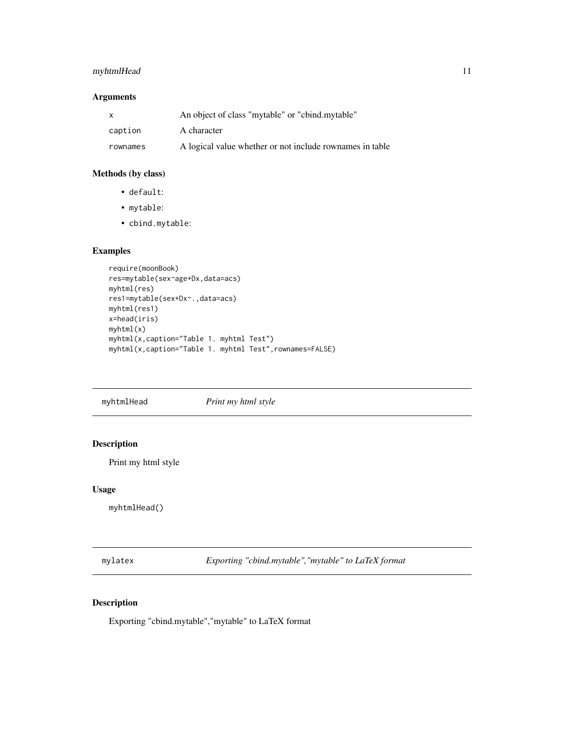## <span id="page-10-0"></span>myhtmlHead 11

## Arguments

| $\mathsf{x}$ | An object of class "mytable" or "cbind.mytable"          |
|--------------|----------------------------------------------------------|
| caption      | A character                                              |
| rownames     | A logical value whether or not include rownames in table |

## Methods (by class)

- default:
- mytable:
- cbind.mytable:

## Examples

```
require(moonBook)
res=mytable(sex~age+Dx,data=acs)
myhtml(res)
res1=mytable(sex+Dx~.,data=acs)
myhtml(res1)
x=head(iris)
myhtml(x)
myhtml(x,caption="Table 1. myhtml Test")
myhtml(x,caption="Table 1. myhtml Test",rownames=FALSE)
```
myhtmlHead *Print my html style*

## Description

Print my html style

#### Usage

myhtmlHead()

mylatex *Exporting "cbind.mytable","mytable" to LaTeX format*

## Description

Exporting "cbind.mytable","mytable" to LaTeX format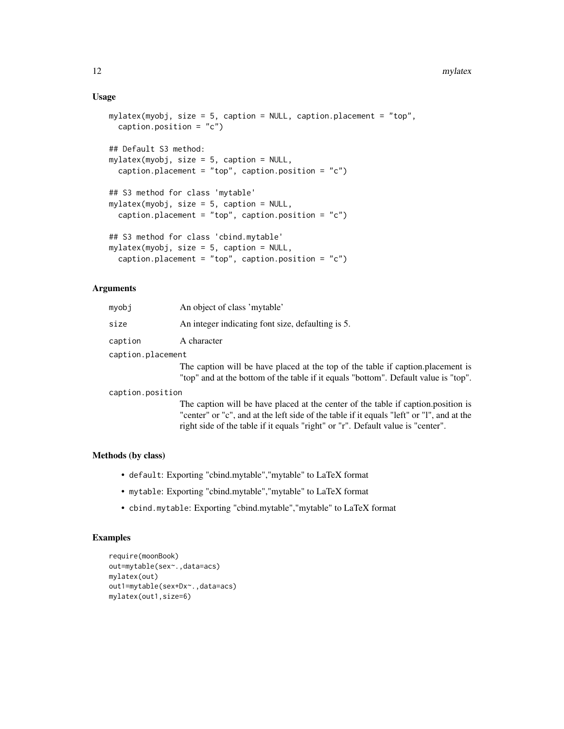#### Usage

```
mylatex(myobj, size = 5, caption = NULL, caption.placement = "top",
 caption.position = "c")
## Default S3 method:
mylatex(myobj, size = 5, caption = NULL,
 caption.placement = "top", caption.position = "c")
## S3 method for class 'mytable'
mylater(myobj, size = 5, caption = NULL,caption.placement = "top", caption.position = "c")
## S3 method for class 'cbind.mytable'
mylatex(myobj, size = 5, caption = NULL,
 caption.placement = "top", caption.position = "c")
```
## Arguments

| mvobi             | An object of class 'mytable'                                                        |
|-------------------|-------------------------------------------------------------------------------------|
| size              | An integer indicating font size, defaulting is 5.                                   |
| caption           | A character                                                                         |
| caption.placement |                                                                                     |
|                   | The caption will be have placed at the top of the table if caption. placement is    |
|                   | "top" and at the bottom of the table if it equals "bottom". Default value is "top". |

caption.position

The caption will be have placed at the center of the table if caption.position is "center" or "c", and at the left side of the table if it equals "left" or "l", and at the right side of the table if it equals "right" or "r". Default value is "center".

#### Methods (by class)

- default: Exporting "cbind.mytable","mytable" to LaTeX format
- mytable: Exporting "cbind.mytable","mytable" to LaTeX format
- cbind.mytable: Exporting "cbind.mytable","mytable" to LaTeX format

## Examples

```
require(moonBook)
out=mytable(sex~.,data=acs)
mylatex(out)
out1=mytable(sex+Dx~.,data=acs)
mylatex(out1,size=6)
```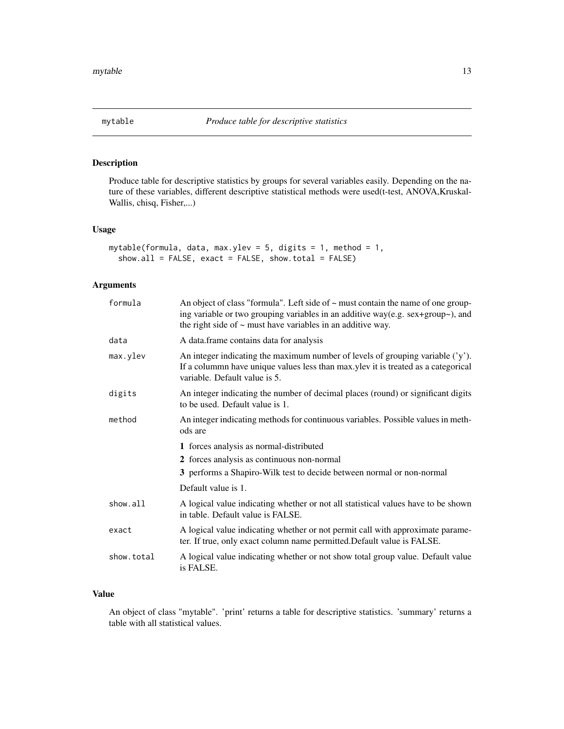<span id="page-12-1"></span><span id="page-12-0"></span>

Produce table for descriptive statistics by groups for several variables easily. Depending on the nature of these variables, different descriptive statistical methods were used(t-test, ANOVA,Kruskal-Wallis, chisq, Fisher,...)

#### Usage

```
mytable(formula, data, max.ylev = 5, digits = 1, method = 1,
  show.all = FALSE, exact = FALSE, show.total = FALSE)
```
## Arguments

| formula    | An object of class "formula". Left side of ~ must contain the name of one group-<br>ing variable or two grouping variables in an additive way(e.g. sex+group~), and<br>the right side of $\sim$ must have variables in an additive way. |
|------------|-----------------------------------------------------------------------------------------------------------------------------------------------------------------------------------------------------------------------------------------|
| data       | A data.frame contains data for analysis                                                                                                                                                                                                 |
| max.ylev   | An integer indicating the maximum number of levels of grouping variable $('y')$ .<br>If a colummn have unique values less than max.ylev it is treated as a categorical<br>variable. Default value is 5.                                 |
| digits     | An integer indicating the number of decimal places (round) or significant digits<br>to be used. Default value is 1.                                                                                                                     |
| method     | An integer indicating methods for continuous variables. Possible values in meth-<br>ods are                                                                                                                                             |
|            | 1 forces analysis as normal-distributed                                                                                                                                                                                                 |
|            | 2 forces analysis as continuous non-normal                                                                                                                                                                                              |
|            | 3 performs a Shapiro-Wilk test to decide between normal or non-normal                                                                                                                                                                   |
|            | Default value is 1.                                                                                                                                                                                                                     |
| show.all   | A logical value indicating whether or not all statistical values have to be shown<br>in table. Default value is FALSE.                                                                                                                  |
| exact      | A logical value indicating whether or not permit call with approximate parame-<br>ter. If true, only exact column name permitted. Default value is FALSE.                                                                               |
| show.total | A logical value indicating whether or not show total group value. Default value<br>is FALSE.                                                                                                                                            |

## Value

An object of class "mytable". 'print' returns a table for descriptive statistics. 'summary' returns a table with all statistical values.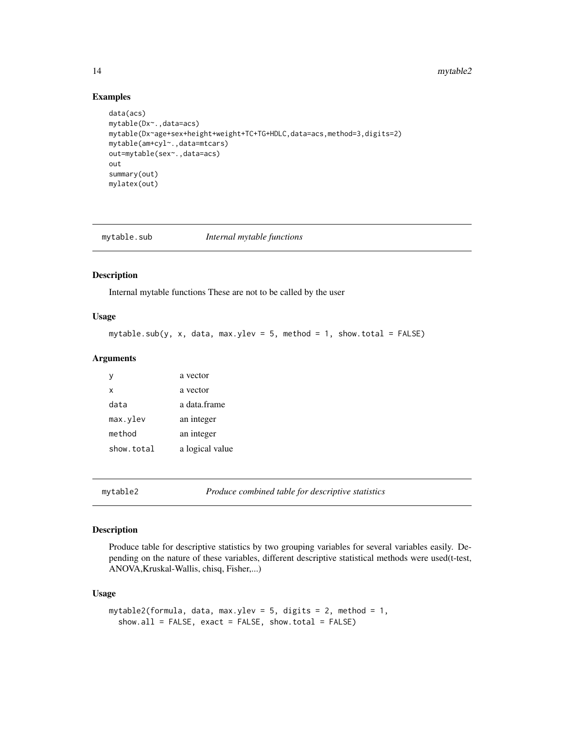#### <span id="page-13-0"></span>14 mytable2

#### Examples

```
data(acs)
mytable(Dx~.,data=acs)
mytable(Dx~age+sex+height+weight+TC+TG+HDLC,data=acs,method=3,digits=2)
mytable(am+cyl~.,data=mtcars)
out=mytable(sex~.,data=acs)
out
summary(out)
mylatex(out)
```
mytable.sub *Internal mytable functions*

#### Description

Internal mytable functions These are not to be called by the user

#### Usage

```
mytable.sub(y, x, data, max.ylev = 5, method = 1, show.total = FALSE)
```
#### Arguments

| y          | a vector        |
|------------|-----------------|
| x          | a vector        |
| data       | a data frame    |
| max.ylev   | an integer      |
| method     | an integer      |
| show.total | a logical value |

mytable2 *Produce combined table for descriptive statistics*

#### Description

Produce table for descriptive statistics by two grouping variables for several variables easily. Depending on the nature of these variables, different descriptive statistical methods were used(t-test, ANOVA,Kruskal-Wallis, chisq, Fisher,...)

#### Usage

```
mytable2(formula, data, max.ylev = 5, digits = 2, method = 1,
  show.all = FALSE, exact = FALSE, show.total = FALSE)
```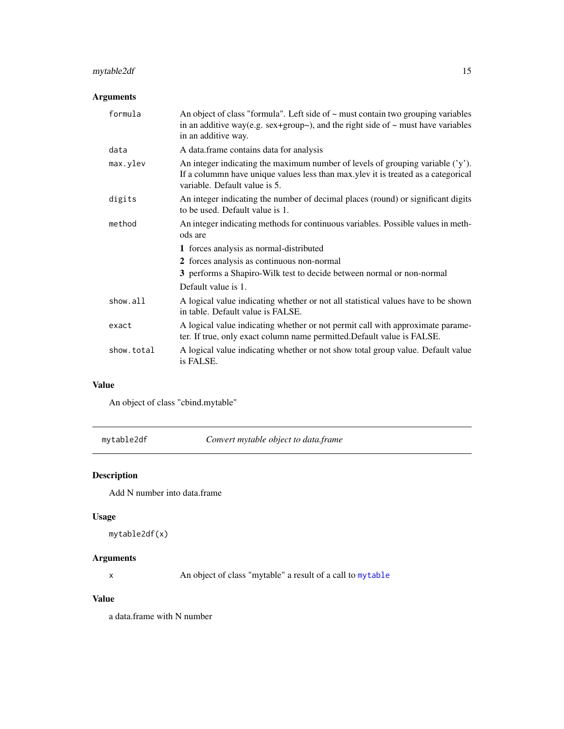## <span id="page-14-0"></span>mytable2df 15

## Arguments

| formula    | An object of class "formula". Left side of ~ must contain two grouping variables<br>in an additive way(e.g. $sex+group\sim$ ), and the right side of $\sim$ must have variables<br>in an additive way. |
|------------|--------------------------------------------------------------------------------------------------------------------------------------------------------------------------------------------------------|
| data       | A data.frame contains data for analysis                                                                                                                                                                |
| max.ylev   | An integer indicating the maximum number of levels of grouping variable $(y')$ .<br>If a column have unique values less than max ylev it is treated as a categorical<br>variable. Default value is 5.  |
| digits     | An integer indicating the number of decimal places (round) or significant digits<br>to be used. Default value is 1.                                                                                    |
| method     | An integer indicating methods for continuous variables. Possible values in meth-<br>ods are                                                                                                            |
|            | 1 forces analysis as normal-distributed                                                                                                                                                                |
|            | 2 forces analysis as continuous non-normal                                                                                                                                                             |
|            | 3 performs a Shapiro-Wilk test to decide between normal or non-normal                                                                                                                                  |
|            | Default value is 1.                                                                                                                                                                                    |
| show.all   | A logical value indicating whether or not all statistical values have to be shown<br>in table. Default value is FALSE.                                                                                 |
| exact      | A logical value indicating whether or not permit call with approximate parame-<br>ter. If true, only exact column name permitted. Default value is FALSE.                                              |
| show.total | A logical value indicating whether or not show total group value. Default value<br>is FALSE.                                                                                                           |

## Value

An object of class "cbind.mytable"

mytable2df *Convert mytable object to data.frame*

## Description

Add N number into data.frame

## Usage

```
mytable2df(x)
```
## Arguments

x An object of class "mytable" a result of a call to [mytable](#page-12-1)

## Value

a data.frame with N number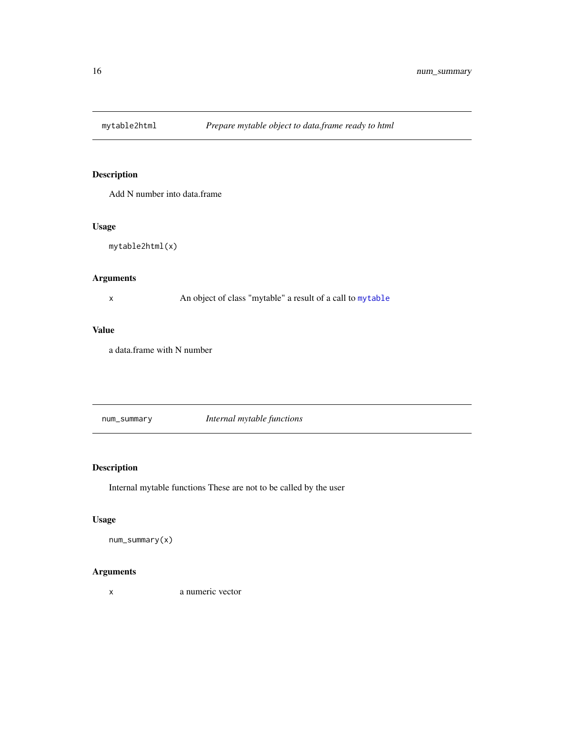<span id="page-15-0"></span>

Add N number into data.frame

## Usage

mytable2html(x)

## Arguments

x An object of class "mytable" a result of a call to [mytable](#page-12-1)

## Value

a data.frame with N number

num\_summary *Internal mytable functions*

## Description

Internal mytable functions These are not to be called by the user

## Usage

num\_summary(x)

## Arguments

x a numeric vector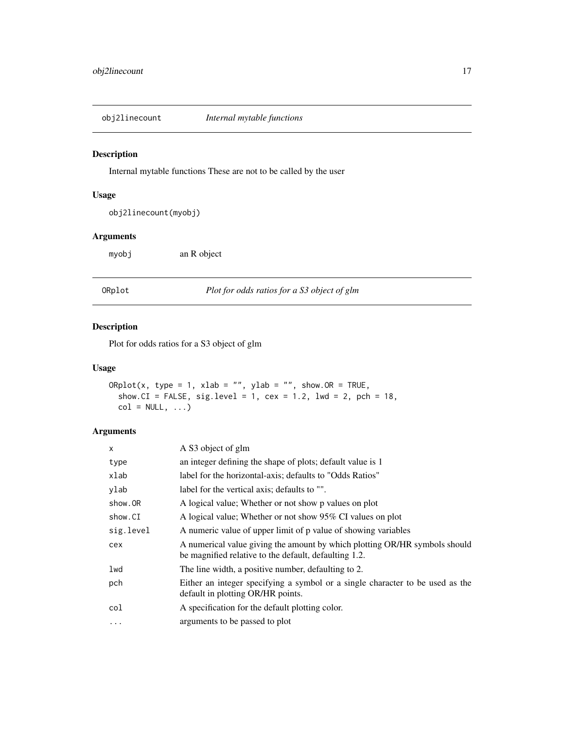<span id="page-16-0"></span>

Internal mytable functions These are not to be called by the user

## Usage

obj2linecount(myobj)

## Arguments

myobj an R object

ORplot *Plot for odds ratios for a S3 object of glm*

#### Description

Plot for odds ratios for a S3 object of glm

## Usage

```
ORplot(x, type = 1, xlab = "", ylab = "", show.OR = TRUE,show.CI = FALSE, sig.level = 1, cex = 1.2, lwd = 2, pch = 18,
  col = NULL, ...
```

| $\mathsf{x}$ | A S3 object of glm                                                                                                                  |
|--------------|-------------------------------------------------------------------------------------------------------------------------------------|
| type         | an integer defining the shape of plots; default value is 1                                                                          |
| xlab         | label for the horizontal-axis; defaults to "Odds Ratios"                                                                            |
| ylab         | label for the vertical axis; defaults to "".                                                                                        |
| show.OR      | A logical value; Whether or not show p values on plot                                                                               |
| show.CI      | A logical value; Whether or not show 95% CI values on plot                                                                          |
| sig.level    | A numeric value of upper limit of p value of showing variables                                                                      |
| cex          | A numerical value giving the amount by which plotting OR/HR symbols should<br>be magnified relative to the default, defaulting 1.2. |
| lwd          | The line width, a positive number, defaulting to 2.                                                                                 |
| pch          | Either an integer specifying a symbol or a single character to be used as the<br>default in plotting OR/HR points.                  |
| col          | A specification for the default plotting color.                                                                                     |
| $\ddotsc$    | arguments to be passed to plot                                                                                                      |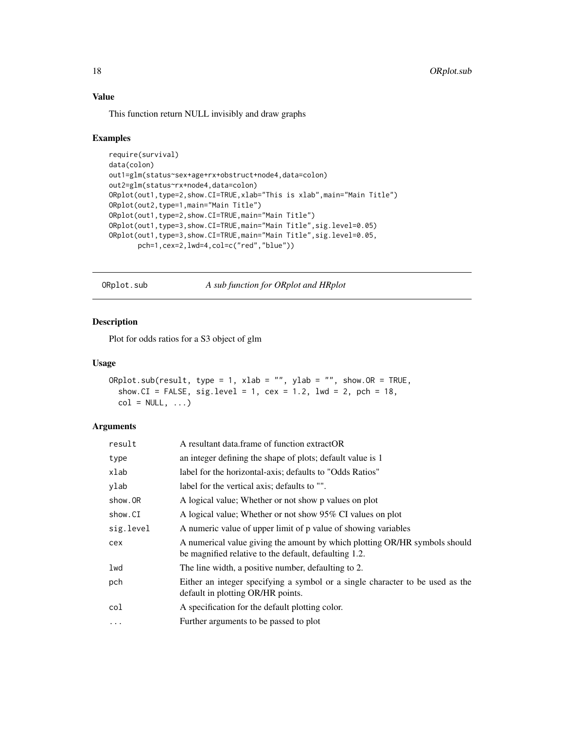## <span id="page-17-0"></span>Value

This function return NULL invisibly and draw graphs

#### Examples

```
require(survival)
data(colon)
out1=glm(status~sex+age+rx+obstruct+node4,data=colon)
out2=glm(status~rx+node4,data=colon)
ORplot(out1,type=2,show.CI=TRUE,xlab="This is xlab",main="Main Title")
ORplot(out2,type=1,main="Main Title")
ORplot(out1,type=2,show.CI=TRUE,main="Main Title")
ORplot(out1,type=3,show.CI=TRUE,main="Main Title",sig.level=0.05)
ORplot(out1,type=3,show.CI=TRUE,main="Main Title",sig.level=0.05,
       pch=1,cex=2,lwd=4,col=c("red","blue"))
```
ORplot.sub *A sub function for ORplot and HRplot*

## Description

Plot for odds ratios for a S3 object of glm

## Usage

```
ORplot.sub(result, type = 1, xlab = "", ylab = "", show.OR = TRUE,
  show.CI = FALSE, sig.level = 1, cex = 1.2, lwd = 2, pch = 18,
  col = NULL, ...
```

| result    | A resultant data frame of function extractOR                                                                                        |
|-----------|-------------------------------------------------------------------------------------------------------------------------------------|
| type      | an integer defining the shape of plots; default value is 1                                                                          |
| xlab      | label for the horizontal-axis; defaults to "Odds Ratios"                                                                            |
| ylab      | label for the vertical axis; defaults to "".                                                                                        |
| show.OR   | A logical value; Whether or not show p values on plot                                                                               |
| show.CI   | A logical value; Whether or not show 95% CI values on plot                                                                          |
| sig.level | A numeric value of upper limit of p value of showing variables                                                                      |
| cex       | A numerical value giving the amount by which plotting OR/HR symbols should<br>be magnified relative to the default, defaulting 1.2. |
| lwd       | The line width, a positive number, defaulting to 2.                                                                                 |
| pch       | Either an integer specifying a symbol or a single character to be used as the<br>default in plotting OR/HR points.                  |
| col       | A specification for the default plotting color.                                                                                     |
| $\ddots$  | Further arguments to be passed to plot                                                                                              |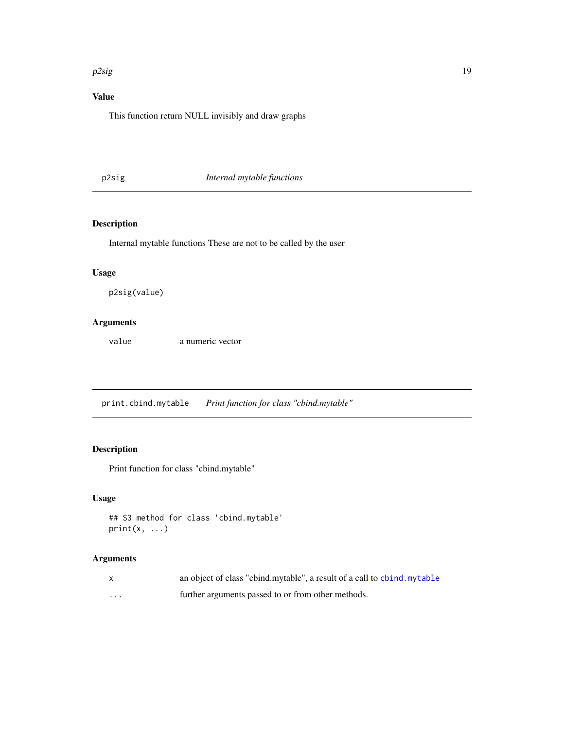#### <span id="page-18-0"></span> $p2sig$  and the state of the state of the state of the state of the state of the state of the state of the state of the state of the state of the state of the state of the state of the state of the state of the state of the

## Value

This function return NULL invisibly and draw graphs

## p2sig *Internal mytable functions*

## Description

Internal mytable functions These are not to be called by the user

## Usage

p2sig(value)

## Arguments

value a numeric vector

print.cbind.mytable *Print function for class "cbind.mytable"*

## Description

Print function for class "cbind.mytable"

## Usage

```
## S3 method for class 'cbind.mytable'
print(x, \ldots)
```

|   | an object of class "cbind.mytable", a result of a call to chind.mytable |
|---|-------------------------------------------------------------------------|
| . | further arguments passed to or from other methods.                      |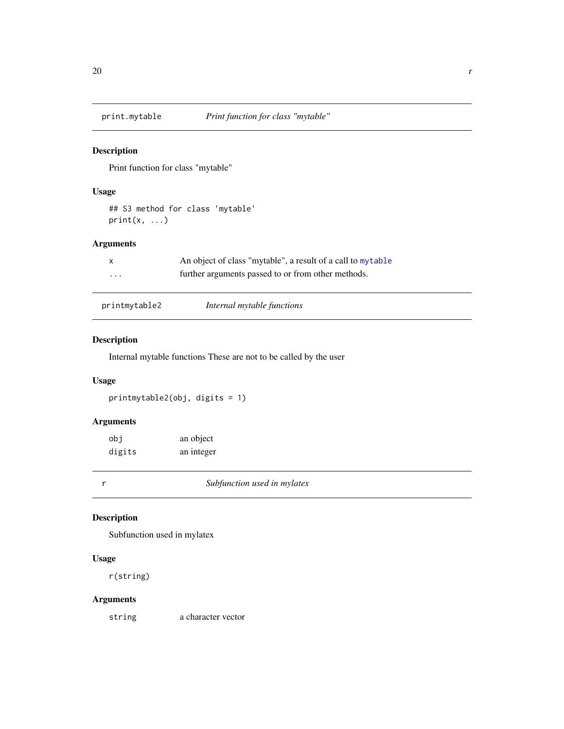<span id="page-19-0"></span>

Print function for class "mytable"

## Usage

## S3 method for class 'mytable'  $print(x, \ldots)$ 

## Arguments

| $\mathsf{X}$ | An object of class "mytable", a result of a call to mytable |
|--------------|-------------------------------------------------------------|
| $\cdot$      | further arguments passed to or from other methods.          |

| printmytable2 | Internal mytable functions |
|---------------|----------------------------|
|               |                            |

## Description

Internal mytable functions These are not to be called by the user

## Usage

printmytable2(obj, digits = 1)

## Arguments

| obi    | an object  |
|--------|------------|
| digits | an integer |

r *Subfunction used in mylatex*

## Description

Subfunction used in mylatex

#### Usage

r(string)

## Arguments

string a character vector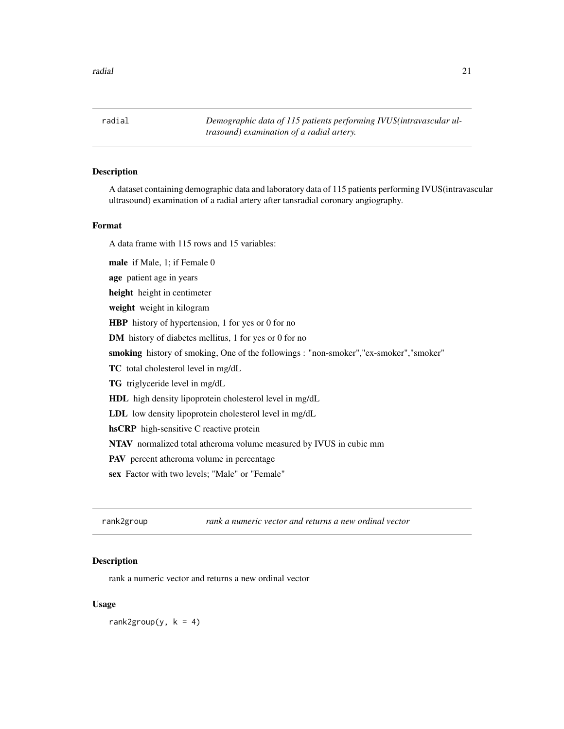<span id="page-20-0"></span>radial *Demographic data of 115 patients performing IVUS(intravascular ultrasound) examination of a radial artery.*

## Description

A dataset containing demographic data and laboratory data of 115 patients performing IVUS(intravascular ultrasound) examination of a radial artery after tansradial coronary angiography.

#### Format

A data frame with 115 rows and 15 variables:

male if Male, 1; if Female 0 age patient age in years

height height in centimeter

weight weight in kilogram

HBP history of hypertension, 1 for yes or 0 for no

DM history of diabetes mellitus, 1 for yes or 0 for no

smoking history of smoking, One of the followings : "non-smoker","ex-smoker","smoker"

TC total cholesterol level in mg/dL

TG triglyceride level in mg/dL

HDL high density lipoprotein cholesterol level in mg/dL

LDL low density lipoprotein cholesterol level in mg/dL

hsCRP high-sensitive C reactive protein

NTAV normalized total atheroma volume measured by IVUS in cubic mm

PAV percent atheroma volume in percentage

sex Factor with two levels; "Male" or "Female"

rank2group *rank a numeric vector and returns a new ordinal vector*

### **Description**

rank a numeric vector and returns a new ordinal vector

#### Usage

rank2group(y,  $k = 4$ )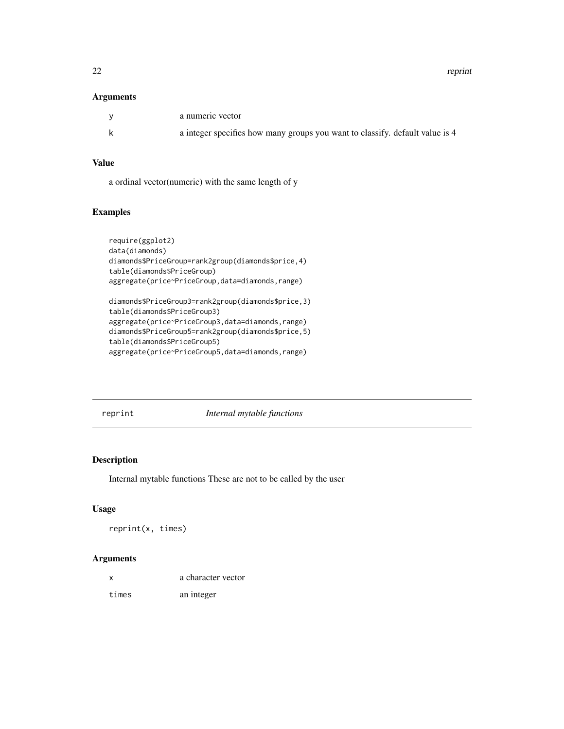22 reprint

#### Arguments

| a numeric vector                                                             |
|------------------------------------------------------------------------------|
| a integer specifies how many groups you want to classify. default value is 4 |

## Value

a ordinal vector(numeric) with the same length of y

## Examples

```
require(ggplot2)
data(diamonds)
diamonds$PriceGroup=rank2group(diamonds$price,4)
table(diamonds$PriceGroup)
aggregate(price~PriceGroup,data=diamonds,range)
diamonds$PriceGroup3=rank2group(diamonds$price,3)
table(diamonds$PriceGroup3)
aggregate(price~PriceGroup3,data=diamonds,range)
```

```
diamonds$PriceGroup5=rank2group(diamonds$price,5)
table(diamonds$PriceGroup5)
```

```
aggregate(price~PriceGroup5,data=diamonds,range)
```
reprint *Internal mytable functions*

#### Description

Internal mytable functions These are not to be called by the user

## Usage

```
reprint(x, times)
```

| X     | a character vector |  |
|-------|--------------------|--|
| times | an integer         |  |

<span id="page-21-0"></span>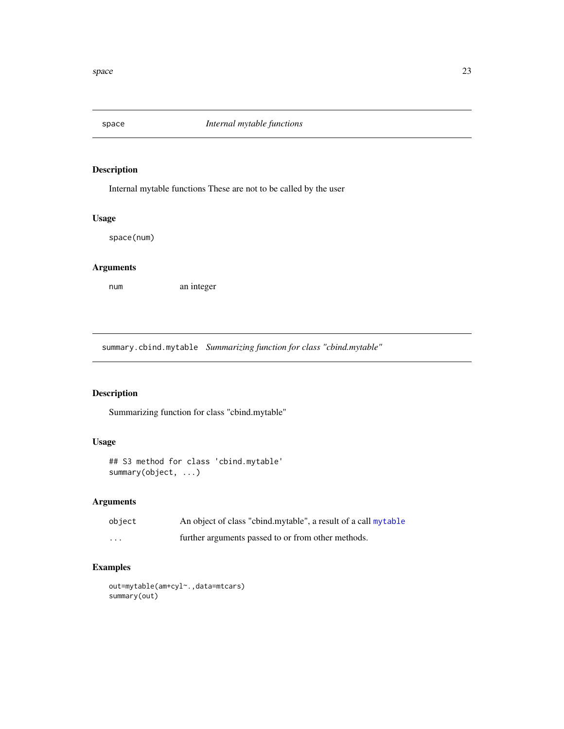<span id="page-22-0"></span>

Internal mytable functions These are not to be called by the user

#### Usage

space(num)

## Arguments

num an integer

summary.cbind.mytable *Summarizing function for class "cbind.mytable"*

## Description

Summarizing function for class "cbind.mytable"

## Usage

```
## S3 method for class 'cbind.mytable'
summary(object, ...)
```
## Arguments

| object   | An object of class "cbind.mytable", a result of a call mytable |
|----------|----------------------------------------------------------------|
| $\cdots$ | further arguments passed to or from other methods.             |

## Examples

```
out=mytable(am+cyl~.,data=mtcars)
summary(out)
```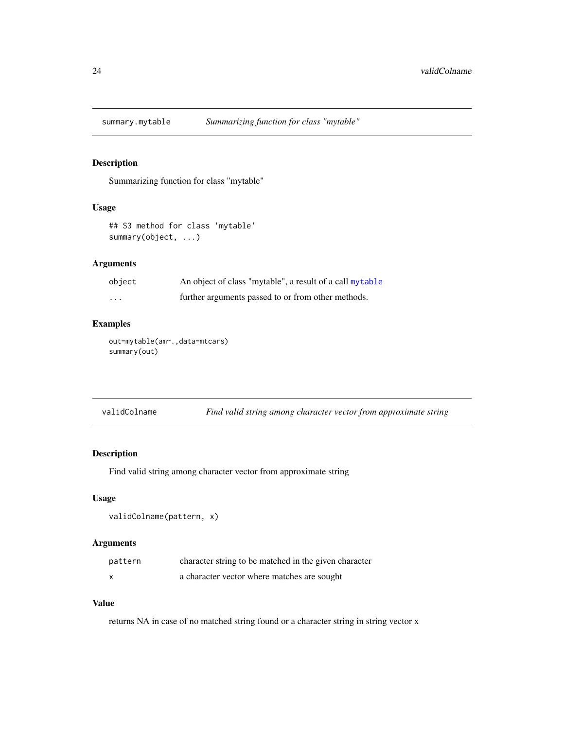<span id="page-23-0"></span>

Summarizing function for class "mytable"

## Usage

```
## S3 method for class 'mytable'
summary(object, ...)
```
## Arguments

| object   | An object of class "mytable", a result of a call mytable |
|----------|----------------------------------------------------------|
| $\cdots$ | further arguments passed to or from other methods.       |

## Examples

out=mytable(am~.,data=mtcars) summary(out)

| validColname | Find valid string among character vector from approximate string |  |
|--------------|------------------------------------------------------------------|--|
|              |                                                                  |  |

## Description

Find valid string among character vector from approximate string

#### Usage

```
validColname(pattern, x)
```
## Arguments

| pattern | character string to be matched in the given character |
|---------|-------------------------------------------------------|
|         | a character vector where matches are sought           |

## Value

returns NA in case of no matched string found or a character string in string vector x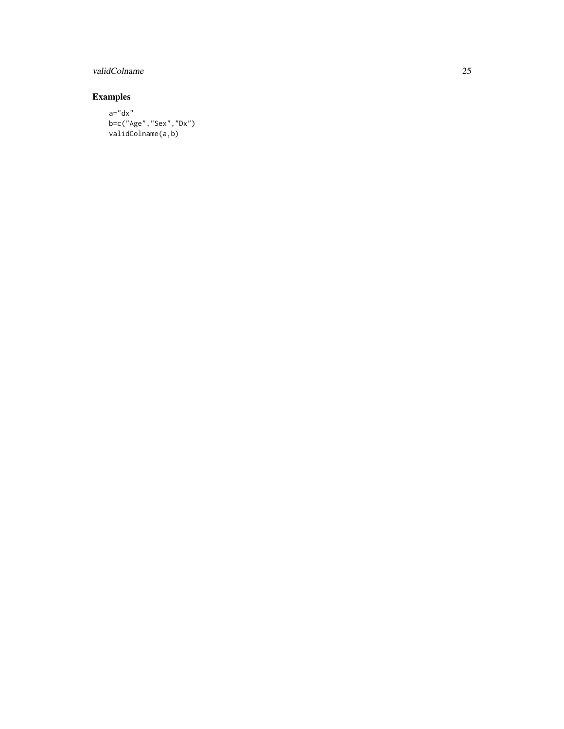## validColname 25

## Examples

a="dx" b=c("Age","Sex","Dx") validColname(a,b)